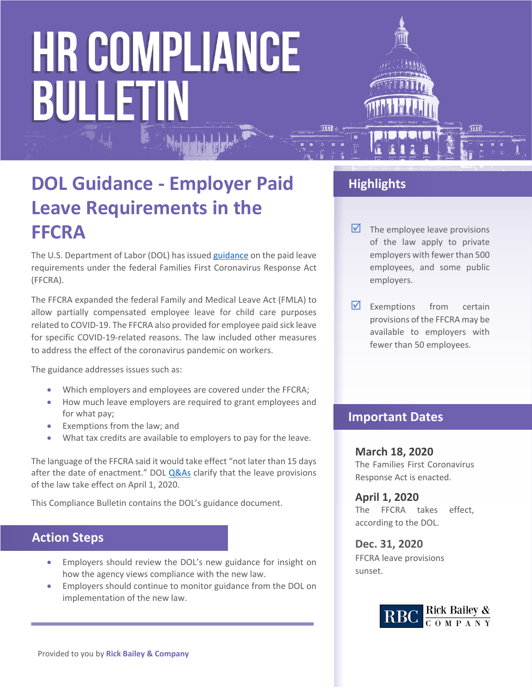# **HR COMPLIANCE BULLETIN**



### **DOL Guidance - Employer Paid Leave Requirements in the FFCRA**

The U.S. Department of Labor (DOL) has issued [guidance](https://www.dol.gov/agencies/whd/pandemic/ffcra-employer-paid-leave) on the paid leave requirements under the federal Families First Coronavirus Response Act (FFCRA).

The FFCRA expanded the federal Family and Medical Leave Act (FMLA) to allow partially compensated employee leave for child care purposes related to COVID-19. The FFCRA also provided for employee paid sick leave for specific COVID-19-related reasons. The law included other measures to address the effect of the coronavirus pandemic on workers.

The guidance addresses issues such as:

- Which employers and employees are covered under the FFCRA;
- How much leave employers are required to grant employees and for what pay;
- Exemptions from the law; and
- What tax credits are available to employers to pay for the leave.

The language of the FFCRA said it would take effect "not later than 15 days after the date of enactment." DOL **Q&As** clarify that the leave provisions of the law take effect on April 1, 2020.

This Compliance Bulletin contains the DOL's guidance document.

#### **Action Steps**

- Employers should review the DOL's new guidance for insight on how the agency views compliance with the new law.
- Employers should continue to monitor guidance from the DOL on implementation of the new law.

#### **Highlights**

- $\triangleright$  The employee leave provisions of the law apply to private employers with fewer than 500 employees, and some public employers.
- $\nabla$  Exemptions from certain provisions of the FFCRA may be available to employers with fewer than 50 employees.

#### **Important Dates**

#### **March 18, 2020**

The Families First Coronavirus Response Act is enacted.

**April 1, 2020** The FFCRA takes effect, according to the DOL.

#### **Dec. 31, 2020** FFCRA leave provisions sunset.

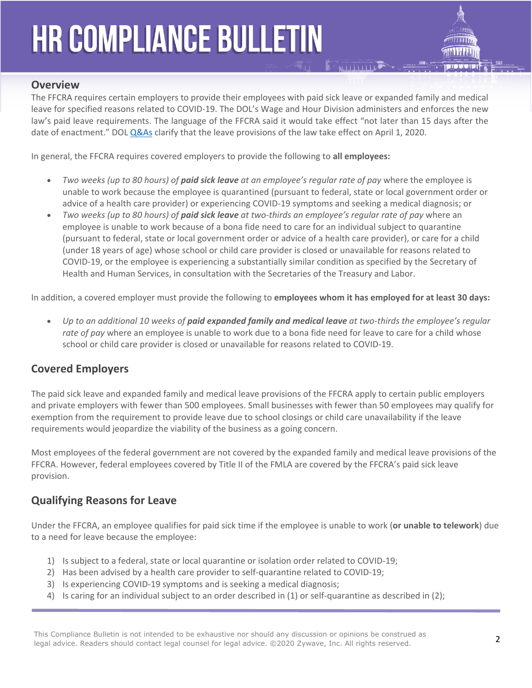## **HR COMPLIANCE BULLETIN**



#### **Overview**

The FFCRA requires certain employers to provide their employees with paid sick leave or expanded family and medical leave for specified reasons related to COVID-19. The DOL's Wage and Hour Division administers and enforces the new law's paid leave requirements. The language of the FFCRA said it would take effect "not later than 15 days after the date of enactment." DOL [Q&As](https://www.dol.gov/agencies/whd/pandemic/ffcra-questions) clarify that the leave provisions of the law take effect on April 1, 2020.

In general, the FFCRA requires covered employers to provide the following to **all employees:**

- *Two weeks (up to 80 hours) of paid sick leave at an employee's regular rate of pay* where the employee is unable to work because the employee is quarantined (pursuant to federal, state or local government order or advice of a health care provider) or experiencing COVID-19 symptoms and seeking a medical diagnosis; or
- *Two weeks (up to 80 hours) of paid sick leave at two-thirds an employee's regular rate of pay* where an employee is unable to work because of a bona fide need to care for an individual subject to quarantine (pursuant to federal, state or local government order or advice of a health care provider), or care for a child (under 18 years of age) whose school or child care provider is closed or unavailable for reasons related to COVID-19, or the employee is experiencing a substantially similar condition as specified by the Secretary of Health and Human Services, in consultation with the Secretaries of the Treasury and Labor.

In addition, a covered employer must provide the following to **employees whom it has employed for at least 30 days:**

 *Up to an additional 10 weeks of paid expanded family and medical leave at two-thirds the employee's regular rate of pay* where an employee is unable to work due to a bona fide need for leave to care for a child whose school or child care provider is closed or unavailable for reasons related to COVID-19.

#### **Covered Employers**

The paid sick leave and expanded family and medical leave provisions of the FFCRA apply to certain public employers and private employers with fewer than 500 employees. Small businesses with fewer than 50 employees may qualify for exemption from the requirement to provide leave due to school closings or child care unavailability if the leave requirements would jeopardize the viability of the business as a going concern.

Most employees of the federal government are not covered by the expanded family and medical leave provisions of the FFCRA. However, federal employees covered by Title II of the FMLA are covered by the FFCRA's paid sick leave provision.

#### **Qualifying Reasons for Leave**

Under the FFCRA, an employee qualifies for paid sick time if the employee is unable to work (**or unable to telework**) due to a need for leave because the employee:

- 1) Is subject to a federal, state or local quarantine or isolation order related to COVID-19;
- 2) Has been advised by a health care provider to self-quarantine related to COVID-19;
- 3) Is experiencing COVID-19 symptoms and is seeking a medical diagnosis;
- 4) Is caring for an individual subject to an order described in (1) or self-quarantine as described in (2);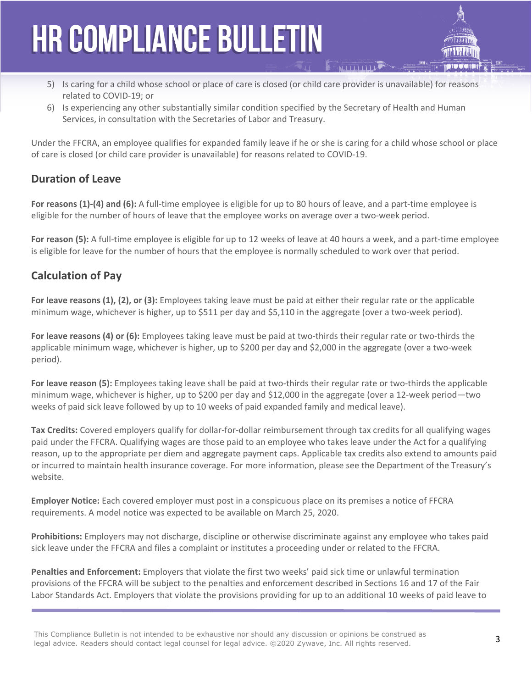### **HR COMPLIANCE BULLETIN**

- 5) Is caring for a child whose school or place of care is closed (or child care provider is unavailable) for reasons related to COVID-19; or
- 6) Is experiencing any other substantially similar condition specified by the Secretary of Health and Human Services, in consultation with the Secretaries of Labor and Treasury.

Under the FFCRA, an employee qualifies for expanded family leave if he or she is caring for a child whose school or place of care is closed (or child care provider is unavailable) for reasons related to COVID-19.

#### **Duration of Leave**

**For reasons (1)-(4) and (6):** A full-time employee is eligible for up to 80 hours of leave, and a part-time employee is eligible for the number of hours of leave that the employee works on average over a two-week period.

**For reason (5):** A full-time employee is eligible for up to 12 weeks of leave at 40 hours a week, and a part-time employee is eligible for leave for the number of hours that the employee is normally scheduled to work over that period.

#### **Calculation of Pay**

**For leave reasons (1), (2), or (3):** Employees taking leave must be paid at either their regular rate or the applicable minimum wage, whichever is higher, up to \$511 per day and \$5,110 in the aggregate (over a two-week period).

**For leave reasons (4) or (6):** Employees taking leave must be paid at two-thirds their regular rate or two-thirds the applicable minimum wage, whichever is higher, up to \$200 per day and \$2,000 in the aggregate (over a two-week period).

**For leave reason (5):** Employees taking leave shall be paid at two-thirds their regular rate or two-thirds the applicable minimum wage, whichever is higher, up to \$200 per day and \$12,000 in the aggregate (over a 12-week period—two weeks of paid sick leave followed by up to 10 weeks of paid expanded family and medical leave).

**Tax Credits:** Covered employers qualify for dollar-for-dollar reimbursement through tax credits for all qualifying wages paid under the FFCRA. Qualifying wages are those paid to an employee who takes leave under the Act for a qualifying reason, up to the appropriate per diem and aggregate payment caps. Applicable tax credits also extend to amounts paid or incurred to maintain health insurance coverage. For more information, please see the Department of the Treasury's website.

**Employer Notice:** Each covered employer must post in a conspicuous place on its premises a notice of FFCRA requirements. A model notice was expected to be available on March 25, 2020.

**Prohibitions:** Employers may not discharge, discipline or otherwise discriminate against any employee who takes paid sick leave under the FFCRA and files a complaint or institutes a proceeding under or related to the FFCRA.

**Penalties and Enforcement:** Employers that violate the first two weeks' paid sick time or unlawful termination provisions of the FFCRA will be subject to the penalties and enforcement described in Sections 16 and 17 of the Fair Labor Standards Act. Employers that violate the provisions providing for up to an additional 10 weeks of paid leave to